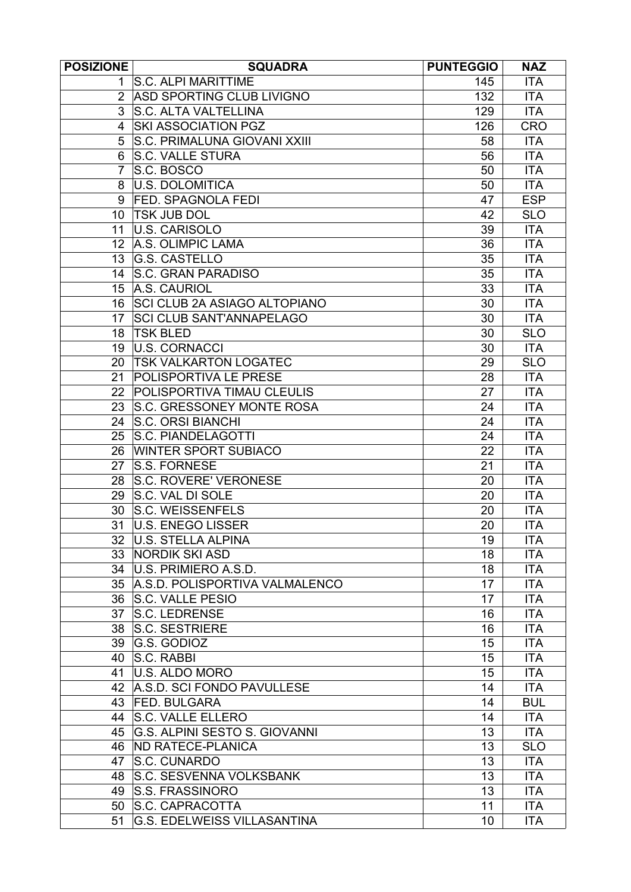| <b>POSIZIONE</b> | <b>SQUADRA</b>                      | <b>PUNTEGGIO</b> | <b>NAZ</b> |
|------------------|-------------------------------------|------------------|------------|
| 1.               | <b>S.C. ALPI MARITTIME</b>          | 145              | <b>ITA</b> |
| 2                | ASD SPORTING CLUB LIVIGNO           | 132              | <b>ITA</b> |
| 3                | <b>S.C. ALTA VALTELLINA</b>         | 129              | <b>ITA</b> |
| 4                | <b>SKI ASSOCIATION PGZ</b>          | 126              | <b>CRO</b> |
| 5                | S.C. PRIMALUNA GIOVANI XXIII        | 58               | <b>ITA</b> |
| 6                | <b>S.C. VALLE STURA</b>             | 56               | <b>ITA</b> |
|                  | S.C. BOSCO                          | 50               | <b>ITA</b> |
| 8                | <b>U.S. DOLOMITICA</b>              | 50               | <b>ITA</b> |
| 9                | <b>FED. SPAGNOLA FEDI</b>           | 47               | <b>ESP</b> |
| 10               | <b>TSK JUB DOL</b>                  | 42               | <b>SLO</b> |
| 11               | U.S. CARISOLO                       | 39               | <b>ITA</b> |
| 12 <sup>2</sup>  | A.S. OLIMPIC LAMA                   | 36               | <b>ITA</b> |
| 13               | <b>G.S. CASTELLO</b>                | 35               | <b>ITA</b> |
| 14               | S.C. GRAN PARADISO                  | 35               | <b>ITA</b> |
| 15 <sup>15</sup> | A.S. CAURIOL                        | 33               | <b>ITA</b> |
| 16               | <b>SCI CLUB 2A ASIAGO ALTOPIANO</b> | 30               | <b>ITA</b> |
| 17               | <b>SCI CLUB SANT'ANNAPELAGO</b>     | 30               | <b>ITA</b> |
| 18               | <b>TSK BLED</b>                     | 30               | <b>SLO</b> |
| 19               | U.S. CORNACCI                       | 30               | <b>ITA</b> |
| 20               | <b>TSK VALKARTON LOGATEC</b>        | 29               | <b>SLO</b> |
| 21               | <b>POLISPORTIVA LE PRESE</b>        | 28               | <b>ITA</b> |
| 22               | POLISPORTIVA TIMAU CLEULIS          | 27               | <b>ITA</b> |
| 23               | S.C. GRESSONEY MONTE ROSA           | 24               | <b>ITA</b> |
| 24               | <b>S.C. ORSI BIANCHI</b>            | 24               | <b>ITA</b> |
| 25               | S.C. PIANDELAGOTTI                  | 24               | <b>ITA</b> |
| 26               | <b>WINTER SPORT SUBIACO</b>         | 22               | <b>ITA</b> |
| 27               | <b>S.S. FORNESE</b>                 | 21               | <b>ITA</b> |
| 28               | <b>S.C. ROVERE' VERONESE</b>        | 20               | <b>ITA</b> |
| 29               | S.C. VAL DI SOLE                    | 20               | <b>ITA</b> |
| 30               | S.C. WEISSENFELS                    | 20               | <b>ITA</b> |
| 31               | U.S. ENEGO LISSER                   | 20               | <b>ITA</b> |
| 32 <sup>2</sup>  | U.S. STELLA ALPINA                  | 19               | <b>ITA</b> |
| 33               | <b>NORDIK SKI ASD</b>               | 18               | <b>ITA</b> |
| 34               | U.S. PRIMIERO A.S.D.                | 18               | <b>ITA</b> |
|                  | 35 A.S.D. POLISPORTIVA VALMALENCO   | 17               | <b>ITA</b> |
| 36               | <b>S.C. VALLE PESIO</b>             | 17               | <b>ITA</b> |
| 37               | <b>S.C. LEDRENSE</b>                | 16               | <b>ITA</b> |
| 38               | <b>S.C. SESTRIERE</b>               | 16               | <b>ITA</b> |
|                  | G.S. GODIOZ                         | 15               | <b>ITA</b> |
| 39<br>40         | S.C. RABBI                          | 15               | <b>ITA</b> |
|                  | U.S. ALDO MORO                      | 15               | <b>ITA</b> |
| 41<br>42         | A.S.D. SCI FONDO PAVULLESE          | 14               | <b>ITA</b> |
|                  |                                     |                  |            |
| 43               | <b>FED. BULGARA</b>                 | 14               | <b>BUL</b> |
| 44               | <b>S.C. VALLE ELLERO</b>            | 14               | <b>ITA</b> |
| 45               | G.S. ALPINI SESTO S. GIOVANNI       | 13               | <b>ITA</b> |
| 46               | <b>ND RATECE-PLANICA</b>            | 13               | <b>SLO</b> |
| 47               | S.C. CUNARDO                        | 13               | <b>ITA</b> |
| 48               | <b>S.C. SESVENNA VOLKSBANK</b>      | 13               | <b>ITA</b> |
| 49               | <b>S.S. FRASSINORO</b>              | 13               | <b>ITA</b> |
| 50               | <b>S.C. CAPRACOTTA</b>              | 11               | <b>ITA</b> |
| 51               | <b>G.S. EDELWEISS VILLASANTINA</b>  | 10               | <b>ITA</b> |